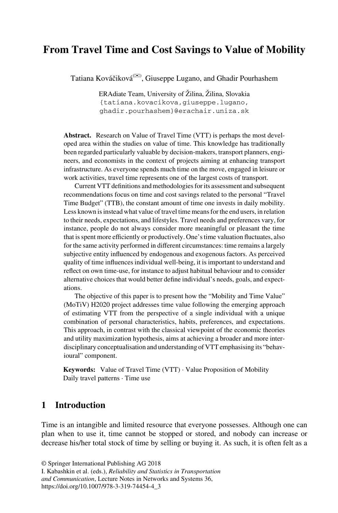# **From Travel Time and Cost Savings to Value of Mobility**

Tatiana Kováčiková(✉) , Giuseppe Lugano, and Ghadir Pourhashem

ERAdiate Team, University of Žilina, Žilina, Slovakia {tatiana.kovacikova,giuseppe.lugano, ghadir.pourhashem}@erachair.uniza.sk

**Abstract.** Research on Value of Travel Time (VTT) is perhaps the most devel‐ oped area within the studies on value of time. This knowledge has traditionally been regarded particularly valuable by decision-makers, transport planners, engineers, and economists in the context of projects aiming at enhancing transport infrastructure. As everyone spends much time on the move, engaged in leisure or work activities, travel time represents one of the largest costs of transport.

Current VTT definitions and methodologies for its assessment and subsequent recommendations focus on time and cost savings related to the personal "Travel Time Budget" (TTB), the constant amount of time one invests in daily mobility. Less known is instead what value of travel time means for the end users, in relation to their needs, expectations, and lifestyles. Travel needs and preferences vary, for instance, people do not always consider more meaningful or pleasant the time that is spent more efficiently or productively. One's time valuation fluctuates, also for the same activity performed in different circumstances: time remains a largely subjective entity influenced by endogenous and exogenous factors. As perceived quality of time influences individual well-being, it is important to understand and reflect on own time-use, for instance to adjust habitual behaviour and to consider alternative choices that would better define individual's needs, goals, and expectations.

The objective of this paper is to present how the "Mobility and Time Value" (MoTiV) H2020 project addresses time value following the emerging approach of estimating VTT from the perspective of a single individual with a unique combination of personal characteristics, habits, preferences, and expectations. This approach, in contrast with the classical viewpoint of the economic theories and utility maximization hypothesis, aims at achieving a broader and more inter‐ disciplinary conceptualisation and understanding of VTT emphasising its "behav‐ ioural" component.

**Keywords:** Value of Travel Time (VTT) · Value Proposition of Mobility Daily travel patterns · Time use

# **1 Introduction**

Time is an intangible and limited resource that everyone possesses. Although one can plan when to use it, time cannot be stopped or stored, and nobody can increase or decrease his/her total stock of time by selling or buying it. As such, it is often felt as a

<sup>©</sup> Springer International Publishing AG 2018

I. Kabashkin et al. (eds.), *Reliability and Statistics in Transportation and Communication*, Lecture Notes in Networks and Systems 36, https://doi.org/10.1007/978-3-319-74454-4\_3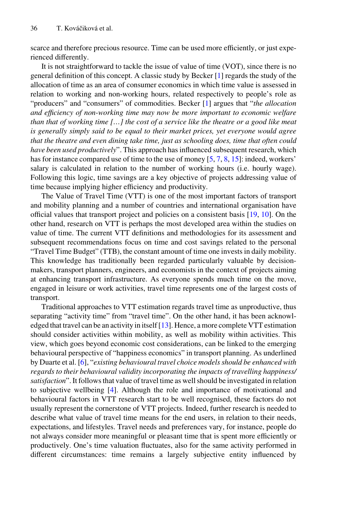scarce and therefore precious resource. Time can be used more efficiently, or just experienced differently.

It is not straightforward to tackle the issue of value of time (VOT), since there is no general definition of this concept. A classic study by Becker [\[1\]](#page-8-0) regards the study of the allocation of time as an area of consumer economics in which time value is assessed in relation to working and non-working hours, related respectively to people's role as "producers" and "consumers" of commodities. Becker [[1\]](#page-8-0) argues that "*the allocation and efficiency of non*-*working time may now be more important to economic welfare than that of working time […] the cost of a service like the theatre or a good like meat is generally simply said to be equal to their market prices, yet everyone would agree that the theatre and even dining take time, just as schooling does, time that often could have been used productively*". This approach has influenced subsequent research, which has for instance compared use of time to the use of money [\[5](#page-8-0), [7, 8](#page-8-0), [15\]](#page-8-0): indeed, workers' salary is calculated in relation to the number of working hours (i.e. hourly wage). Following this logic, time savings are a key objective of projects addressing value of time because implying higher efficiency and productivity.

The Value of Travel Time (VTT) is one of the most important factors of transport and mobility planning and a number of countries and international organisation have official values that transport project and policies on a consistent basis [[19,](#page-8-0) [10\]](#page-8-0). On the other hand, research on VTT is perhaps the most developed area within the studies on value of time. The current VTT definitions and methodologies for its assessment and subsequent recommendations focus on time and cost savings related to the personal "Travel Time Budget" (TTB), the constant amount of time one invests in daily mobility. This knowledge has traditionally been regarded particularly valuable by decisionmakers, transport planners, engineers, and economists in the context of projects aiming at enhancing transport infrastructure. As everyone spends much time on the move, engaged in leisure or work activities, travel time represents one of the largest costs of transport.

Traditional approaches to VTT estimation regards travel time as unproductive, thus separating "activity time" from "travel time". On the other hand, it has been acknowledged that travel can be an activity in itself [\[13](#page-8-0)]. Hence, a more complete VTT estimation should consider activities within mobility, as well as mobility within activities. This view, which goes beyond economic cost considerations, can be linked to the emerging behavioural perspective of "happiness economics" in transport planning. As underlined by Duarte et al. [[6\]](#page-8-0), "*existing behavioural travel choice models should be enhanced with regards to their behavioural validity incorporating the impacts of travelling happiness/ satisfaction*". It follows that value of travel time as well should be investigated in relation to subjective wellbeing [\[4](#page-8-0)]. Although the role and importance of motivational and behavioural factors in VTT research start to be well recognised, these factors do not usually represent the cornerstone of VTT projects. Indeed, further research is needed to describe what value of travel time means for the end users, in relation to their needs, expectations, and lifestyles. Travel needs and preferences vary, for instance, people do not always consider more meaningful or pleasant time that is spent more efficiently or productively. One's time valuation fluctuates, also for the same activity performed in different circumstances: time remains a largely subjective entity influenced by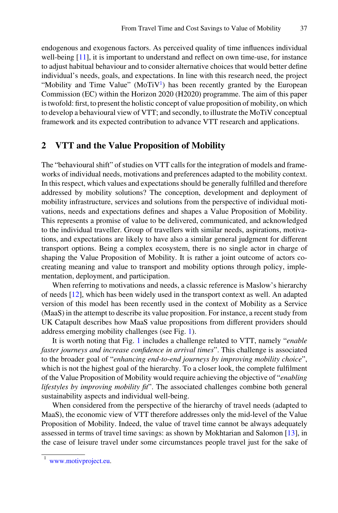endogenous and exogenous factors. As perceived quality of time influences individual well-being [\[11](#page-8-0)], it is important to understand and reflect on own time-use, for instance to adjust habitual behaviour and to consider alternative choices that would better define individual's needs, goals, and expectations. In line with this research need, the project "Mobility and Time Value" (MoTiV<sup>1</sup>) has been recently granted by the European Commission (EC) within the Horizon 2020 (H2020) programme. The aim of this paper is twofold: first, to present the holistic concept of value proposition of mobility, on which to develop a behavioural view of VTT; and secondly, to illustrate the MoTiV conceptual framework and its expected contribution to advance VTT research and applications.

#### **2 VTT and the Value Proposition of Mobility**

The "behavioural shift" of studies on VTT calls for the integration of models and frame‐ works of individual needs, motivations and preferences adapted to the mobility context. In this respect, which values and expectations should be generally fulfilled and therefore addressed by mobility solutions? The conception, development and deployment of mobility infrastructure, services and solutions from the perspective of individual motivations, needs and expectations defines and shapes a Value Proposition of Mobility. This represents a promise of value to be delivered, communicated, and acknowledged to the individual traveller. Group of travellers with similar needs, aspirations, motivations, and expectations are likely to have also a similar general judgment for different transport options. Being a complex ecosystem, there is no single actor in charge of shaping the Value Proposition of Mobility. It is rather a joint outcome of actors cocreating meaning and value to transport and mobility options through policy, implementation, deployment, and participation.

When referring to motivations and needs, a classic reference is Maslow's hierarchy of needs [\[12](#page-8-0)], which has been widely used in the transport context as well. An adapted version of this model has been recently used in the context of Mobility as a Service (MaaS) in the attempt to describe its value proposition. For instance, a recent study from UK Catapult describes how MaaS value propositions from different providers should address emerging mobility challenges (see Fig. [1\)](#page-3-0).

It is worth noting that Fig. [1](#page-3-0) includes a challenge related to VTT, namely "*enable faster journeys and increase confidence in arrival times*". This challenge is associated to the broader goal of "*enhancing end*-*to*-*end journeys by improving mobility choice*", which is not the highest goal of the hierarchy. To a closer look, the complete fulfilment of the Value Proposition of Mobility would require achieving the objective of "*enabling lifestyles by improving mobility fit*". The associated challenges combine both general sustainability aspects and individual well-being.

When considered from the perspective of the hierarchy of travel needs (adapted to MaaS), the economic view of VTT therefore addresses only the mid-level of the Value Proposition of Mobility. Indeed, the value of travel time cannot be always adequately assessed in terms of travel time savings: as shown by Mokhtarian and Salomon [[13\]](#page-8-0), in the case of leisure travel under some circumstances people travel just for the sake of

 $\overline{1}$  [www.motivproject.eu.](http://www.motivproject.eu/)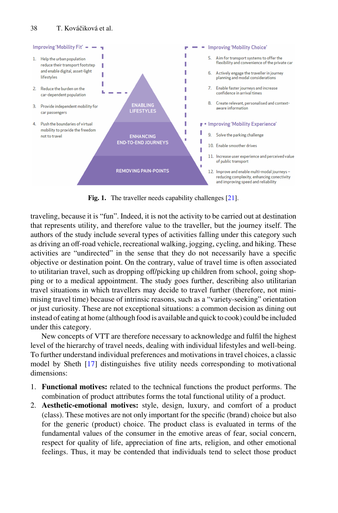<span id="page-3-0"></span>

Fig. 1. The traveller needs capability challenges [\[21](#page-8-0)].

traveling, because it is "fun". Indeed, it is not the activity to be carried out at destination that represents utility, and therefore value to the traveller, but the journey itself. The authors of the study include several types of activities falling under this category such as driving an off-road vehicle, recreational walking, jogging, cycling, and hiking. These activities are "undirected" in the sense that they do not necessarily have a specific objective or destination point. On the contrary, value of travel time is often associated to utilitarian travel, such as dropping off/picking up children from school, going shopping or to a medical appointment. The study goes further, describing also utilitarian travel situations in which travellers may decide to travel further (therefore, not mini‐ mising travel time) because of intrinsic reasons, such as a "variety-seeking" orientation or just curiosity. These are not exceptional situations: a common decision as dining out instead of eating at home (although food is available and quick to cook) could be included under this category.

New concepts of VTT are therefore necessary to acknowledge and fulfil the highest level of the hierarchy of travel needs, dealing with individual lifestyles and well-being. To further understand individual preferences and motivations in travel choices, a classic model by Sheth [\[17](#page-8-0)] distinguishes five utility needs corresponding to motivational dimensions:

- 1. **Functional motives:** related to the technical functions the product performs. The combination of product attributes forms the total functional utility of a product.
- 2. **Aesthetic-emotional motives:** style, design, luxury, and comfort of a product (class). These motives are not only important for the specific (brand) choice but also for the generic (product) choice. The product class is evaluated in terms of the fundamental values of the consumer in the emotive areas of fear, social concern, respect for quality of life, appreciation of fine arts, religion, and other emotional feelings. Thus, it may be contended that individuals tend to select those product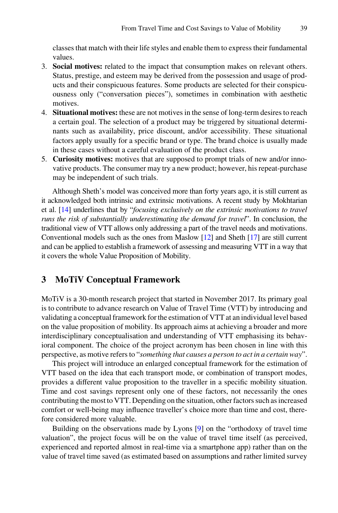classes that match with their life styles and enable them to express their fundamental values.

- 3. **Social motives:** related to the impact that consumption makes on relevant others. Status, prestige, and esteem may be derived from the possession and usage of prod‐ ucts and their conspicuous features. Some products are selected for their conspicuousness only ("conversation pieces"), sometimes in combination with aesthetic motives.
- 4. **Situational motives:** these are not motives in the sense of long-term desires to reach a certain goal. The selection of a product may be triggered by situational determi‐ nants such as availability, price discount, and/or accessibility. These situational factors apply usually for a specific brand or type. The brand choice is usually made in these cases without a careful evaluation of the product class.
- 5. **Curiosity motives:** motives that are supposed to prompt trials of new and/or innovative products. The consumer may try a new product; however, his repeat-purchase may be independent of such trials.

Although Sheth's model was conceived more than forty years ago, it is still current as it acknowledged both intrinsic and extrinsic motivations. A recent study by Mokhtarian et al. [[14](#page-8-0)] underlines that by "*focusing exclusively on the extrinsic motivations to travel runs the risk of substantially underestimating the demand for travel*". In conclusion, the traditional view of VTT allows only addressing a part of the travel needs and motivations. Conventional models such as the ones from Maslow [[12](#page-8-0)] and Sheth [\[17\]](#page-8-0) are still current and can be applied to establish a framework of assessing and measuring VTT in a way that it covers the whole Value Proposition of Mobility.

#### **3 MoTiV Conceptual Framework**

MoTiV is a 30-month research project that started in November 2017. Its primary goal is to contribute to advance research on Value of Travel Time (VTT) by introducing and validating a conceptual framework for the estimation of VTT at an individual level based on the value proposition of mobility. Its approach aims at achieving a broader and more interdisciplinary conceptualisation and understanding of VTT emphasising its behav‐ ioral component. The choice of the project acronym has been chosen in line with this perspective, as motive refers to "*something that causes a person to act in a certain way*".

This project will introduce an enlarged conceptual framework for the estimation of VTT based on the idea that each transport mode, or combination of transport modes, provides a different value proposition to the traveller in a specific mobility situation. Time and cost savings represent only one of these factors, not necessarily the ones contributing the most to VTT. Depending on the situation, other factors such as increased comfort or well-being may influence traveller's choice more than time and cost, therefore considered more valuable.

Building on the observations made by Lyons [[9\]](#page-8-0) on the "orthodoxy of travel time valuation", the project focus will be on the value of travel time itself (as perceived, experienced and reported almost in real-time via a smartphone app) rather than on the value of travel time saved (as estimated based on assumptions and rather limited survey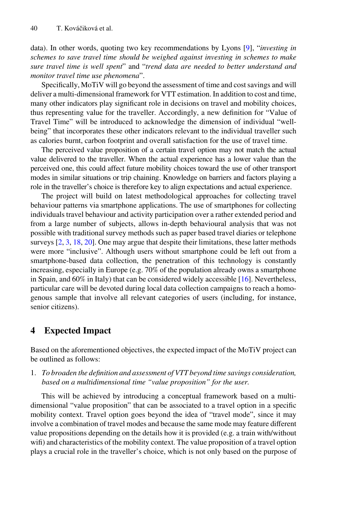data). In other words, quoting two key recommendations by Lyons [[9\]](#page-8-0), "*investing in schemes to save travel time should be weighed against investing in schemes to make sure travel time is well spent*" and "*trend data are needed to better understand and monitor travel time use phenomena*".

Specifically, MoTiV will go beyond the assessment of time and cost savings and will deliver a multi-dimensional framework for VTT estimation. In addition to cost and time, many other indicators play significant role in decisions on travel and mobility choices, thus representing value for the traveller. Accordingly, a new definition for "Value of Travel Time" will be introduced to acknowledge the dimension of individual "wellbeing" that incorporates these other indicators relevant to the individual traveller such as calories burnt, carbon footprint and overall satisfaction for the use of travel time.

The perceived value proposition of a certain travel option may not match the actual value delivered to the traveller. When the actual experience has a lower value than the perceived one, this could affect future mobility choices toward the use of other transport modes in similar situations or trip chaining. Knowledge on barriers and factors playing a role in the traveller's choice is therefore key to align expectations and actual experience.

The project will build on latest methodological approaches for collecting travel behaviour patterns via smartphone applications. The use of smartphones for collecting individuals travel behaviour and activity participation over a rather extended period and from a large number of subjects, allows in-depth behavioural analysis that was not possible with traditional survey methods such as paper based travel diaries or telephone surveys [[2, 3](#page-8-0), [18](#page-8-0), [20\]](#page-8-0). One may argue that despite their limitations, these latter methods were more "inclusive". Although users without smartphone could be left out from a smartphone-based data collection, the penetration of this technology is constantly increasing, especially in Europe (e.g. 70% of the population already owns a smartphone in Spain, and 60% in Italy) that can be considered widely accessible [\[16](#page-8-0)]. Nevertheless, particular care will be devoted during local data collection campaigns to reach a homogenous sample that involve all relevant categories of users (including, for instance, senior citizens).

# **4 Expected Impact**

Based on the aforementioned objectives, the expected impact of the MoTiV project can be outlined as follows:

1. *To broaden the definition and assessment of VTT beyond time savings consideration, based on a multidimensional time "value proposition" for the user.*

This will be achieved by introducing a conceptual framework based on a multidimensional "value proposition" that can be associated to a travel option in a specific mobility context. Travel option goes beyond the idea of "travel mode", since it may involve a combination of travel modes and because the same mode may feature different value propositions depending on the details how it is provided (e.g. a train with/without wifi) and characteristics of the mobility context. The value proposition of a travel option plays a crucial role in the traveller's choice, which is not only based on the purpose of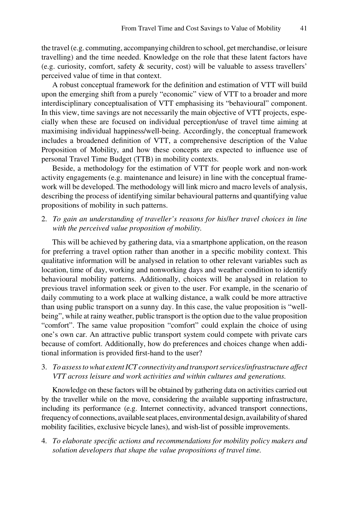the travel (e.g. commuting, accompanying children to school, get merchandise, or leisure travelling) and the time needed. Knowledge on the role that these latent factors have (e.g. curiosity, comfort, safety & security, cost) will be valuable to assess travellers' perceived value of time in that context.

A robust conceptual framework for the definition and estimation of VTT will build upon the emerging shift from a purely "economic" view of VTT to a broader and more interdisciplinary conceptualisation of VTT emphasising its "behavioural" component. In this view, time savings are not necessarily the main objective of VTT projects, especially when these are focused on individual perception/use of travel time aiming at maximising individual happiness/well-being. Accordingly, the conceptual framework includes a broadened definition of VTT, a comprehensive description of the Value Proposition of Mobility, and how these concepts are expected to influence use of personal Travel Time Budget (TTB) in mobility contexts.

Beside, a methodology for the estimation of VTT for people work and non-work activity engagements (e.g. maintenance and leisure) in line with the conceptual frame‐ work will be developed. The methodology will link micro and macro levels of analysis, describing the process of identifying similar behavioural patterns and quantifying value propositions of mobility in such patterns.

2. *To gain an understanding of traveller's reasons for his*/*her travel choices in line with the perceived value proposition of mobility.*

This will be achieved by gathering data, via a smartphone application, on the reason for preferring a travel option rather than another in a specific mobility context. This qualitative information will be analysed in relation to other relevant variables such as location, time of day, working and nonworking days and weather condition to identify behavioural mobility patterns. Additionally, choices will be analysed in relation to previous travel information seek or given to the user. For example, in the scenario of daily commuting to a work place at walking distance, a walk could be more attractive than using public transport on a sunny day. In this case, the value proposition is "wellbeing", while at rainy weather, public transport is the option due to the value proposition "comfort". The same value proposition "comfort" could explain the choice of using one's own car. An attractive public transport system could compete with private cars because of comfort. Additionally, how do preferences and choices change when additional information is provided first-hand to the user?

3. *To assess to what extent ICT connectivity and transport services*/*infrastructure affect VTT across leisure and work activities and within cultures and generations.*

Knowledge on these factors will be obtained by gathering data on activities carried out by the traveller while on the move, considering the available supporting infrastructure, including its performance (e.g. Internet connectivity, advanced transport connections, frequency of connections, available seat places, environmental design, availability of shared mobility facilities, exclusive bicycle lanes), and wish-list of possible improvements.

4. *To elaborate specific actions and recommendations for mobility policy makers and solution developers that shape the value propositions of travel time.*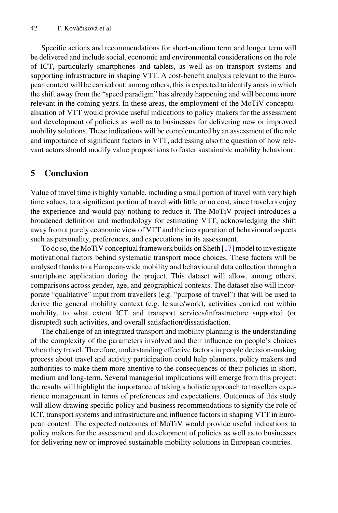Specific actions and recommendations for short-medium term and longer term will be delivered and include social, economic and environmental considerations on the role of ICT, particularly smartphones and tablets, as well as on transport systems and supporting infrastructure in shaping VTT. A cost-benefit analysis relevant to the Euro– pean context will be carried out: among others, this is expected to identify areas in which the shift away from the "speed paradigm" has already happening and will become more relevant in the coming years. In these areas, the employment of the MoTiV conceptualisation of VTT would provide useful indications to policy makers for the assessment and development of policies as well as to businesses for delivering new or improved mobility solutions. These indications will be complemented by an assessment of the role and importance of significant factors in VTT, addressing also the question of how rele‐ vant actors should modify value propositions to foster sustainable mobility behaviour.

# **5 Conclusion**

Value of travel time is highly variable, including a small portion of travel with very high time values, to a significant portion of travel with little or no cost, since travelers enjoy the experience and would pay nothing to reduce it. The MoTiV project introduces a broadened definition and methodology for estimating VTT, acknowledging the shift away from a purely economic view of VTT and the incorporation of behavioural aspects such as personality, preferences, and expectations in its assessment.

To do so, the MoTiV conceptual framework builds on Sheth [\[17\]](#page-8-0) model to investigate motivational factors behind systematic transport mode choices. These factors will be analysed thanks to a European-wide mobility and behavioural data collection through a smartphone application during the project. This dataset will allow, among others, comparisons across gender, age, and geographical contexts. The dataset also will incorporate "qualitative" input from travellers (e.g. "purpose of travel") that will be used to derive the general mobility context (e.g. leisure/work), activities carried out within mobility, to what extent ICT and transport services/infrastructure supported (or disrupted) such activities, and overall satisfaction/dissatisfaction.

The challenge of an integrated transport and mobility planning is the understanding of the complexity of the parameters involved and their influence on people's choices when they travel. Therefore, understanding effective factors in people decision-making process about travel and activity participation could help planners, policy makers and authorities to make them more attentive to the consequences of their policies in short, medium and long-term. Several managerial implications will emerge from this project: the results will highlight the importance of taking a holistic approach to travellers expe‐ rience management in terms of preferences and expectations. Outcomes of this study will allow drawing specific policy and business recommendations to signify the role of ICT, transport systems and infrastructure and influence factors in shaping VTT in European context. The expected outcomes of MoTiV would provide useful indications to policy makers for the assessment and development of policies as well as to businesses for delivering new or improved sustainable mobility solutions in European countries.